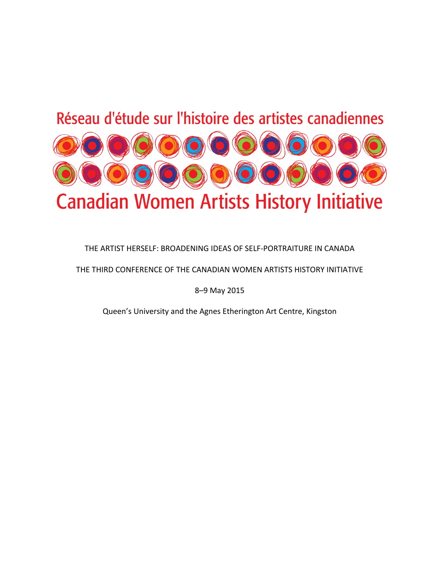# Réseau d'étude sur l'histoire des artistes canadiennes



# THE ARTIST HERSELF: BROADENING IDEAS OF SELF-PORTRAITURE IN CANADA

THE THIRD CONFERENCE OF THE CANADIAN WOMEN ARTISTS HISTORY INITIATIVE

8–9 May 2015

Queen's University and the Agnes Etherington Art Centre, Kingston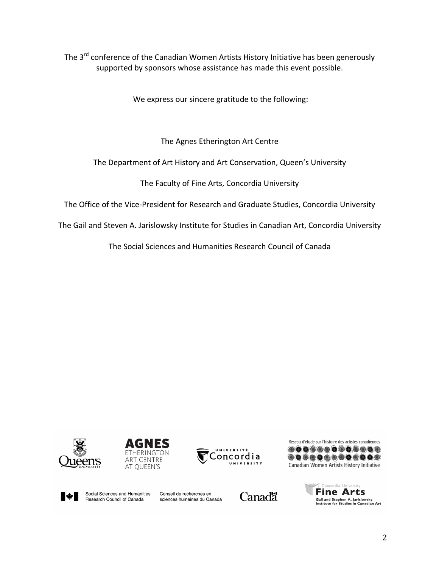The 3<sup>rd</sup> conference of the Canadian Women Artists History Initiative has been generously supported by sponsors whose assistance has made this event possible.

We express our sincere gratitude to the following:

The Agnes Etherington Art Centre

The Department of Art History and Art Conservation, Queen's University

The Faculty of Fine Arts, Concordia University

The Office of the Vice-President for Research and Graduate Studies, Concordia University

The Gail and Steven A. Jarislowsky Institute for Studies in Canadian Art, Concordia University

The Social Sciences and Humanities Research Council of Canada











Social Sciences and Humanities Research Council of Canada

Conseil de recherches en sciences humaines du Canada



oncordia Universit **Fine Arts** Gail and Stephen A. Jarislowsky<br>Institute for Studies in Canadian Art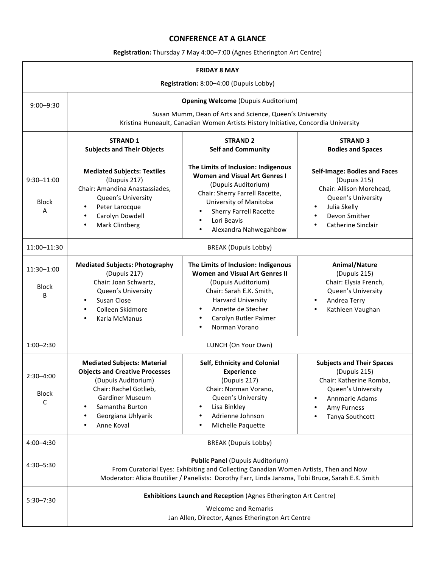## **CONFERENCE AT A GLANCE**

# **Registration:** Thursday 7 May 4:00-7:00 (Agnes Etherington Art Centre)

| <b>FRIDAY 8 MAY</b>                    |                                                                                                                                                                                                                                      |                                                                                                                                                                                                                                                        |                                                                                                                                                                                             |  |  |
|----------------------------------------|--------------------------------------------------------------------------------------------------------------------------------------------------------------------------------------------------------------------------------------|--------------------------------------------------------------------------------------------------------------------------------------------------------------------------------------------------------------------------------------------------------|---------------------------------------------------------------------------------------------------------------------------------------------------------------------------------------------|--|--|
| Registration: 8:00-4:00 (Dupuis Lobby) |                                                                                                                                                                                                                                      |                                                                                                                                                                                                                                                        |                                                                                                                                                                                             |  |  |
| $9:00 - 9:30$                          | <b>Opening Welcome (Dupuis Auditorium)</b>                                                                                                                                                                                           |                                                                                                                                                                                                                                                        |                                                                                                                                                                                             |  |  |
|                                        | Susan Mumm, Dean of Arts and Science, Queen's University<br>Kristina Huneault, Canadian Women Artists History Initiative, Concordia University                                                                                       |                                                                                                                                                                                                                                                        |                                                                                                                                                                                             |  |  |
|                                        | <b>STRAND 1</b><br><b>Subjects and Their Objects</b>                                                                                                                                                                                 | <b>STRAND 2</b><br><b>Self and Community</b>                                                                                                                                                                                                           | <b>STRAND 3</b><br><b>Bodies and Spaces</b>                                                                                                                                                 |  |  |
| $9:30 - 11:00$<br><b>Block</b><br>A    | <b>Mediated Subjects: Textiles</b><br>(Dupuis 217)<br>Chair: Amandina Anastassiades,<br>Queen's University<br>Peter Larocque<br>$\bullet$<br>Carolyn Dowdell<br>$\bullet$<br>Mark Clintberg<br>٠                                     | The Limits of Inclusion: Indigenous<br><b>Women and Visual Art Genres I</b><br>(Dupuis Auditorium)<br>Chair: Sherry Farrell Racette,<br>University of Manitoba<br><b>Sherry Farrell Racette</b><br>Lori Beavis<br>Alexandra Nahwegahbow<br>$\bullet$   | <b>Self-Image: Bodies and Faces</b><br>(Dupuis 215)<br>Chair: Allison Morehead,<br>Queen's University<br>Julia Skelly<br>$\bullet$<br>Devon Smither<br>$\bullet$<br>Catherine Sinclair<br>٠ |  |  |
| 11:00-11:30                            | <b>BREAK (Dupuis Lobby)</b>                                                                                                                                                                                                          |                                                                                                                                                                                                                                                        |                                                                                                                                                                                             |  |  |
| 11:30-1:00<br><b>Block</b><br>B        | <b>Mediated Subjects: Photography</b><br>(Dupuis 217)<br>Chair: Joan Schwartz,<br>Queen's University<br>Susan Close<br>$\bullet$<br>Colleen Skidmore<br>$\bullet$<br>Karla McManus                                                   | The Limits of Inclusion: Indigenous<br><b>Women and Visual Art Genres II</b><br>(Dupuis Auditorium)<br>Chair: Sarah E.K. Smith,<br><b>Harvard University</b><br>Annette de Stecher<br>Carolyn Butler Palmer<br>$\bullet$<br>Norman Vorano<br>$\bullet$ | Animal/Nature<br>(Dupuis 215)<br>Chair: Elysia French,<br>Queen's University<br>Andrea Terry<br>Kathleen Vaughan                                                                            |  |  |
| $1:00 - 2:30$                          | LUNCH (On Your Own)                                                                                                                                                                                                                  |                                                                                                                                                                                                                                                        |                                                                                                                                                                                             |  |  |
| $2:30 - 4:00$<br><b>Block</b><br>C     | <b>Mediated Subjects: Material</b><br><b>Objects and Creative Processes</b><br>(Dupuis Auditorium)<br>Chair: Rachel Gotlieb,<br><b>Gardiner Museum</b><br>Samantha Burton<br>Georgiana Uhlyarik<br>٠<br>Anne Koval                   | Self, Ethnicity and Colonial<br><b>Experience</b><br>(Dupuis 217)<br>Chair: Norman Vorano,<br>Queen's University<br>Lisa Binkley<br>Adrienne Johnson<br>Michelle Paquette                                                                              | <b>Subjects and Their Spaces</b><br>(Dupuis 215)<br>Chair: Katherine Romba.<br>Queen's University<br>Annmarie Adams<br>Amy Furness<br>Tanya Southcott                                       |  |  |
| $4:00 - 4:30$                          | <b>BREAK (Dupuis Lobby)</b>                                                                                                                                                                                                          |                                                                                                                                                                                                                                                        |                                                                                                                                                                                             |  |  |
| 4:30-5:30                              | <b>Public Panel (Dupuis Auditorium)</b><br>From Curatorial Eyes: Exhibiting and Collecting Canadian Women Artists, Then and Now<br>Moderator: Alicia Boutilier / Panelists: Dorothy Farr, Linda Jansma, Tobi Bruce, Sarah E.K. Smith |                                                                                                                                                                                                                                                        |                                                                                                                                                                                             |  |  |
| $5:30 - 7:30$                          | Exhibitions Launch and Reception (Agnes Etherington Art Centre)<br><b>Welcome and Remarks</b><br>Jan Allen, Director, Agnes Etherington Art Centre                                                                                   |                                                                                                                                                                                                                                                        |                                                                                                                                                                                             |  |  |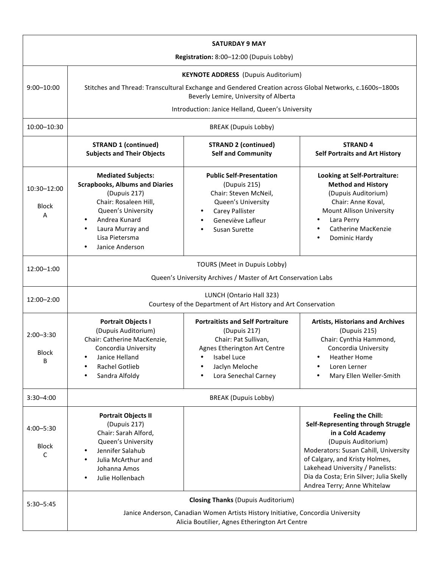| <b>SATURDAY 9 MAY</b>                   |                                                                                                                                                                                                             |                                                                                                                                                                           |                                                                                                                                                                                                                                                                                                     |  |  |
|-----------------------------------------|-------------------------------------------------------------------------------------------------------------------------------------------------------------------------------------------------------------|---------------------------------------------------------------------------------------------------------------------------------------------------------------------------|-----------------------------------------------------------------------------------------------------------------------------------------------------------------------------------------------------------------------------------------------------------------------------------------------------|--|--|
| Registration: 8:00-12:00 (Dupuis Lobby) |                                                                                                                                                                                                             |                                                                                                                                                                           |                                                                                                                                                                                                                                                                                                     |  |  |
|                                         | <b>KEYNOTE ADDRESS</b> (Dupuis Auditorium)                                                                                                                                                                  |                                                                                                                                                                           |                                                                                                                                                                                                                                                                                                     |  |  |
| $9:00 - 10:00$                          | Stitches and Thread: Transcultural Exchange and Gendered Creation across Global Networks, c.1600s-1800s<br>Beverly Lemire, University of Alberta                                                            |                                                                                                                                                                           |                                                                                                                                                                                                                                                                                                     |  |  |
|                                         | Introduction: Janice Helland, Queen's University                                                                                                                                                            |                                                                                                                                                                           |                                                                                                                                                                                                                                                                                                     |  |  |
| 10:00-10:30                             | <b>BREAK (Dupuis Lobby)</b>                                                                                                                                                                                 |                                                                                                                                                                           |                                                                                                                                                                                                                                                                                                     |  |  |
|                                         | <b>STRAND 1 (continued)</b><br><b>Subjects and Their Objects</b>                                                                                                                                            | <b>STRAND 2 (continued)</b><br><b>Self and Community</b>                                                                                                                  | <b>STRAND4</b><br><b>Self Portraits and Art History</b>                                                                                                                                                                                                                                             |  |  |
| 10:30-12:00<br><b>Block</b><br>Α        | <b>Mediated Subjects:</b><br><b>Scrapbooks, Albums and Diaries</b><br>(Dupuis 217)<br>Chair: Rosaleen Hill,<br>Queen's University<br>Andrea Kunard<br>Laura Murray and<br>Lisa Pietersma<br>Janice Anderson | <b>Public Self-Presentation</b><br>(Dupuis 215)<br>Chair: Steven McNeil,<br>Queen's University<br>Carey Pallister<br>Geneviève Lafleur<br>Susan Surette                   | <b>Looking at Self-Portraiture:</b><br><b>Method and History</b><br>(Dupuis Auditorium)<br>Chair: Anne Koval,<br>Mount Allison University<br>Lara Perry<br><b>Catherine MacKenzie</b><br>Dominic Hardy                                                                                              |  |  |
| 12:00-1:00                              | TOURS (Meet in Dupuis Lobby)<br>Queen's University Archives / Master of Art Conservation Labs                                                                                                               |                                                                                                                                                                           |                                                                                                                                                                                                                                                                                                     |  |  |
| 12:00-2:00                              | LUNCH (Ontario Hall 323)<br>Courtesy of the Department of Art History and Art Conservation                                                                                                                  |                                                                                                                                                                           |                                                                                                                                                                                                                                                                                                     |  |  |
| $2:00 - 3:30$<br><b>Block</b><br>B      | <b>Portrait Objects I</b><br>(Dupuis Auditorium)<br>Chair: Catherine MacKenzie,<br>Concordia University<br>Janice Helland<br>Rachel Gotlieb<br>Sandra Alfoldy                                               | <b>Portraitists and Self Portraiture</b><br>(Dupuis 217)<br>Chair: Pat Sullivan,<br>Agnes Etherington Art Centre<br>Isabel Luce<br>Jaclyn Meloche<br>Lora Senechal Carney | <b>Artists, Historians and Archives</b><br>(Dupuis 215)<br>Chair: Cynthia Hammond,<br>Concordia University<br><b>Heather Home</b><br>Loren Lerner<br>Mary Ellen Weller-Smith                                                                                                                        |  |  |
| $3:30 - 4:00$                           | <b>BREAK (Dupuis Lobby)</b>                                                                                                                                                                                 |                                                                                                                                                                           |                                                                                                                                                                                                                                                                                                     |  |  |
| $4:00 - 5:30$<br><b>Block</b><br>C      | <b>Portrait Objects II</b><br>(Dupuis 217)<br>Chair: Sarah Alford,<br>Queen's University<br>Jennifer Salahub<br>Julia McArthur and<br>Johanna Amos<br>Julie Hollenbach                                      |                                                                                                                                                                           | <b>Feeling the Chill:</b><br>Self-Representing through Struggle<br>in a Cold Academy<br>(Dupuis Auditorium)<br>Moderators: Susan Cahill, University<br>of Calgary, and Kristy Holmes,<br>Lakehead University / Panelists:<br>Dia da Costa; Erin Silver; Julia Skelly<br>Andrea Terry; Anne Whitelaw |  |  |
| $5:30 - 5:45$                           | <b>Closing Thanks (Dupuis Auditorium)</b><br>Janice Anderson, Canadian Women Artists History Initiative, Concordia University<br>Alicia Boutilier, Agnes Etherington Art Centre                             |                                                                                                                                                                           |                                                                                                                                                                                                                                                                                                     |  |  |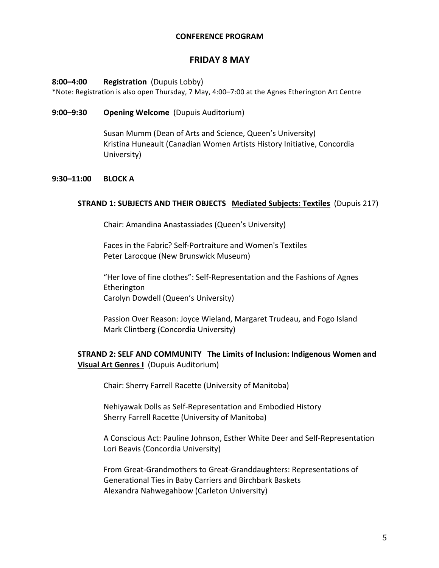#### **CONFERENCE PROGRAM**

# **FRIDAY 8 MAY**

#### **8:00–4:00 • Registration** (Dupuis Lobby)

\*Note: Registration is also open Thursday, 7 May, 4:00–7:00 at the Agnes Etherington Art Centre 

#### **9:00–9:30 Opening Welcome** (Dupuis Auditorium)

Susan Mumm (Dean of Arts and Science, Queen's University) Kristina Huneault (Canadian Women Artists History Initiative, Concordia University)

#### **9:30–11:00 BLOCK A**

#### **STRAND 1: SUBJECTS AND THEIR OBJECTS Mediated Subjects: Textiles** (Dupuis 217)

Chair: Amandina Anastassiades (Queen's University)

Faces in the Fabric? Self-Portraiture and Women's Textiles Peter Larocque (New Brunswick Museum)

"Her love of fine clothes": Self-Representation and the Fashions of Agnes Etherington Carolyn Dowdell (Queen's University)

Passion Over Reason: Joyce Wieland, Margaret Trudeau, and Fogo Island Mark Clintberg (Concordia University)

# **STRAND 2: SELF AND COMMUNITY** The Limits of Inclusion: Indigenous Women and **Visual Art Genres I** (Dupuis Auditorium)

Chair: Sherry Farrell Racette (University of Manitoba)

Nehiyawak Dolls as Self-Representation and Embodied History Sherry Farrell Racette (University of Manitoba)

A Conscious Act: Pauline Johnson, Esther White Deer and Self-Representation Lori Beavis (Concordia University)

From Great-Grandmothers to Great-Granddaughters: Representations of Generational Ties in Baby Carriers and Birchbark Baskets Alexandra Nahwegahbow (Carleton University)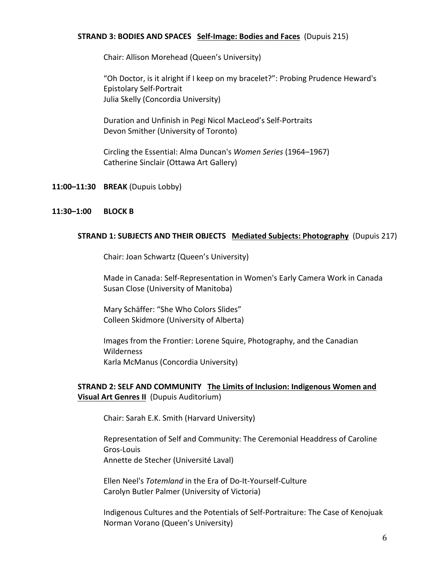#### **STRAND 3: BODIES AND SPACES** Self-Image: Bodies and Faces (Dupuis 215)

Chair: Allison Morehead (Queen's University)

"Oh Doctor, is it alright if I keep on my bracelet?": Probing Prudence Heward's Epistolary Self-Portrait Julia Skelly (Concordia University)

Duration and Unfinish in Pegi Nicol MacLeod's Self-Portraits Devon Smither (University of Toronto)

Circling the Essential: Alma Duncan's *Women Series* (1964–1967) Catherine Sinclair (Ottawa Art Gallery)

**11:00–11:30 BREAK** (Dupuis Lobby)

#### **11:30–1:00 BLOCK B**

#### **STRAND 1: SUBJECTS AND THEIR OBJECTS** Mediated Subjects: Photography (Dupuis 217)

Chair: Joan Schwartz (Queen's University)

Made in Canada: Self-Representation in Women's Early Camera Work in Canada Susan Close (University of Manitoba)

Mary Schäffer: "She Who Colors Slides" Colleen Skidmore (University of Alberta)

Images from the Frontier: Lorene Squire, Photography, and the Canadian Wilderness Karla McManus (Concordia University)

# **STRAND 2: SELF AND COMMUNITY** The Limits of Inclusion: Indigenous Women and **Visual Art Genres II** (Dupuis Auditorium)

Chair: Sarah E.K. Smith (Harvard University)

Representation of Self and Community: The Ceremonial Headdress of Caroline Gros-Louis Annette de Stecher (Université Laval)

Ellen Neel's Totemland in the Era of Do-It-Yourself-Culture Carolyn Butler Palmer (University of Victoria)

Indigenous Cultures and the Potentials of Self-Portraiture: The Case of Kenojuak Norman Vorano (Queen's University)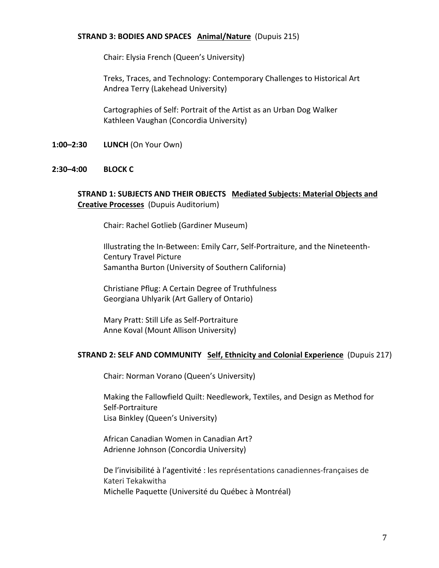#### **STRAND 3: BODIES AND SPACES Animal/Nature** (Dupuis 215)

Chair: Elysia French (Queen's University)

Treks, Traces, and Technology: Contemporary Challenges to Historical Art Andrea Terry (Lakehead University)

Cartographies of Self: Portrait of the Artist as an Urban Dog Walker Kathleen Vaughan (Concordia University)

**1:00–2:30 <b>LUNCH** (On Your Own)

#### **2:30–4:00 BLOCK C**

# **STRAND 1: SUBJECTS AND THEIR OBJECTS Mediated Subjects: Material Objects and Creative Processes** (Dupuis Auditorium)

Chair: Rachel Gotlieb (Gardiner Museum)

Illustrating the In-Between: Emily Carr, Self-Portraiture, and the Nineteenth-Century Travel Picture Samantha Burton (University of Southern California)

Christiane Pflug: A Certain Degree of Truthfulness Georgiana Uhlyarik (Art Gallery of Ontario)

Mary Pratt: Still Life as Self-Portraiture Anne Koval (Mount Allison University)

#### **STRAND 2: SELF AND COMMUNITY** Self, Ethnicity and Colonial Experience (Dupuis 217)

Chair: Norman Vorano (Queen's University)

Making the Fallowfield Quilt: Needlework, Textiles, and Design as Method for Self-Portraiture Lisa Binkley (Queen's University)

African Canadian Women in Canadian Art? Adrienne Johnson (Concordia University)

De l'invisibilité à l'agentivité : les représentations canadiennes-françaises de Kateri Tekakwitha Michelle Paquette (Université du Québec à Montréal)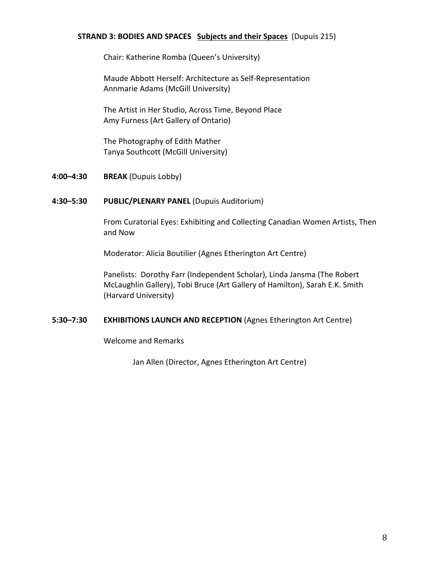#### **STRAND 3: BODIES AND SPACES Subjects and their Spaces** (Dupuis 215)

Chair: Katherine Romba (Queen's University)

Maude Abbott Herself: Architecture as Self-Representation Annmarie Adams (McGill University)

The Artist in Her Studio, Across Time, Beyond Place Amy Furness (Art Gallery of Ontario)

The Photography of Edith Mather Tanya Southcott (McGill University)

**4:00–4:30 BREAK** (Dupuis Lobby)

#### **4:30–5:30 PUBLIC/PLENARY PANEL** (Dupuis Auditorium)

From Curatorial Eyes: Exhibiting and Collecting Canadian Women Artists, Then and Now

Moderator: Alicia Boutilier (Agnes Etherington Art Centre)

Panelists: Dorothy Farr (Independent Scholar), Linda Jansma (The Robert McLaughlin Gallery), Tobi Bruce (Art Gallery of Hamilton), Sarah E.K. Smith (Harvard University)

## **5:30–7:30 EXHIBITIONS LAUNCH AND RECEPTION** (Agnes Etherington Art Centre)

Welcome and Remarks

Jan Allen (Director, Agnes Etherington Art Centre)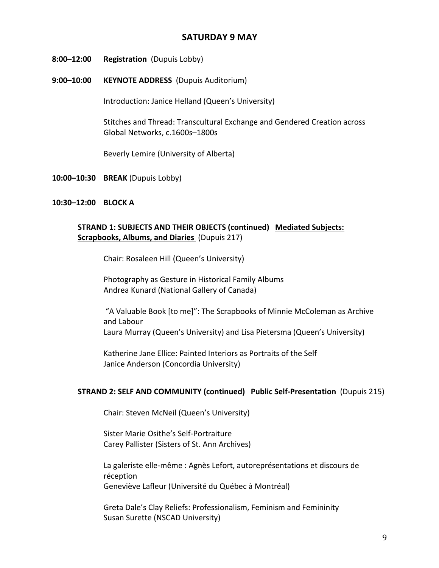# **SATURDAY 9 MAY**

- 8:00-12:00 **Registration** (Dupuis Lobby)
- 9:00-10:00 **KEYNOTE ADDRESS** (Dupuis Auditorium)

Introduction: Janice Helland (Queen's University)

Stitches and Thread: Transcultural Exchange and Gendered Creation across Global Networks, c.1600s-1800s

Beverly Lemire (University of Alberta)

**10:00–10:30 BREAK** (Dupuis Lobby)

## **10:30–12:00 BLOCK A**

# **STRAND 1: SUBJECTS AND THEIR OBJECTS (continued) Mediated Subjects: Scrapbooks, Albums, and Diaries** (Dupuis 217)

Chair: Rosaleen Hill (Queen's University)

Photography as Gesture in Historical Family Albums Andrea Kunard (National Gallery of Canada)

"A Valuable Book [to me]": The Scrapbooks of Minnie McColeman as Archive and Labour Laura Murray (Queen's University) and Lisa Pietersma (Queen's University)

Katherine Jane Ellice: Painted Interiors as Portraits of the Self Janice Anderson (Concordia University)

## **STRAND 2: SELF AND COMMUNITY (continued) Public Self-Presentation** (Dupuis 215)

Chair: Steven McNeil (Queen's University)

Sister Marie Osithe's Self-Portraiture Carey Pallister (Sisters of St. Ann Archives)

La galeriste elle-même : Agnès Lefort, autoreprésentations et discours de réception Geneviève Lafleur (Université du Québec à Montréal)

Greta Dale's Clay Reliefs: Professionalism, Feminism and Femininity Susan Surette (NSCAD University)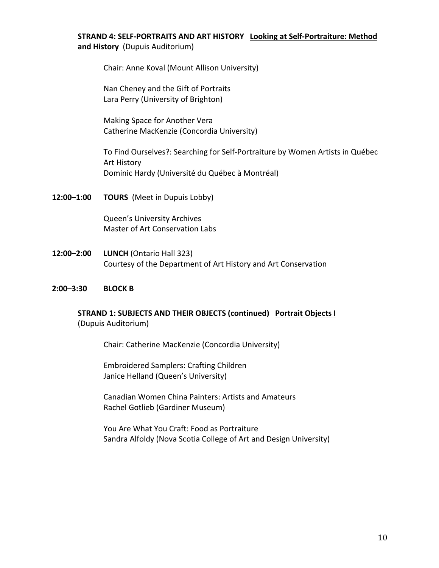# **STRAND 4: SELF-PORTRAITS AND ART HISTORY** Looking at Self-Portraiture: Method and History (Dupuis Auditorium)

Chair: Anne Koval (Mount Allison University)

Nan Cheney and the Gift of Portraits Lara Perry (University of Brighton)

Making Space for Another Vera Catherine MacKenzie (Concordia University)

To Find Ourselves?: Searching for Self-Portraiture by Women Artists in Québec **Art History** Dominic Hardy (Université du Québec à Montréal)

**12:00–1:00 TOURS** (Meet in Dupuis Lobby)

Queen's University Archives Master of Art Conservation Labs

**12:00–2:00 LUNCH** (Ontario Hall 323) Courtesy of the Department of Art History and Art Conservation

#### **2:00–3:30 BLOCK B**

# **STRAND 1: SUBJECTS AND THEIR OBJECTS (continued) Portrait Objects I**  (Dupuis Auditorium)

Chair: Catherine MacKenzie (Concordia University)

Embroidered Samplers: Crafting Children Janice Helland (Queen's University)

Canadian Women China Painters: Artists and Amateurs Rachel Gotlieb (Gardiner Museum)

You Are What You Craft: Food as Portraiture Sandra Alfoldy (Nova Scotia College of Art and Design University)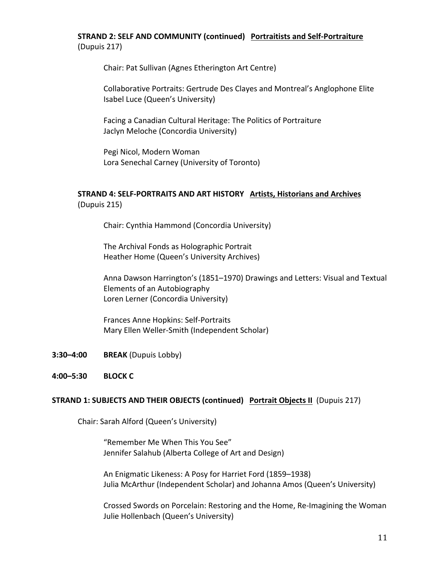# **STRAND 2: SELF AND COMMUNITY (continued) Portraitists and Self-Portraiture** (Dupuis 217)

Chair: Pat Sullivan (Agnes Etherington Art Centre)

Collaborative Portraits: Gertrude Des Clayes and Montreal's Anglophone Elite Isabel Luce (Queen's University)

Facing a Canadian Cultural Heritage: The Politics of Portraiture Jaclyn Meloche (Concordia University)

Pegi Nicol, Modern Woman Lora Senechal Carney (University of Toronto)

# **STRAND 4: SELF-PORTRAITS AND ART HISTORY Artists, Historians and Archives** (Dupuis 215)

Chair: Cynthia Hammond (Concordia University)

The Archival Fonds as Holographic Portrait Heather Home (Queen's University Archives)

Anna Dawson Harrington's (1851–1970) Drawings and Letters: Visual and Textual Elements of an Autobiography Loren Lerner (Concordia University)

Frances Anne Hopkins: Self-Portraits Mary Ellen Weller-Smith (Independent Scholar)

- **3:30–4:00 BREAK** (Dupuis Lobby)
- **4:00–5:30 BLOCK C**

## **STRAND 1: SUBJECTS AND THEIR OBJECTS (continued) Portrait Objects II (Dupuis 217)**

Chair: Sarah Alford (Queen's University)

"Remember Me When This You See" Jennifer Salahub (Alberta College of Art and Design)

An Enigmatic Likeness: A Posy for Harriet Ford (1859–1938) Julia McArthur (Independent Scholar) and Johanna Amos (Queen's University)

Crossed Swords on Porcelain: Restoring and the Home, Re-Imagining the Woman Julie Hollenbach (Queen's University)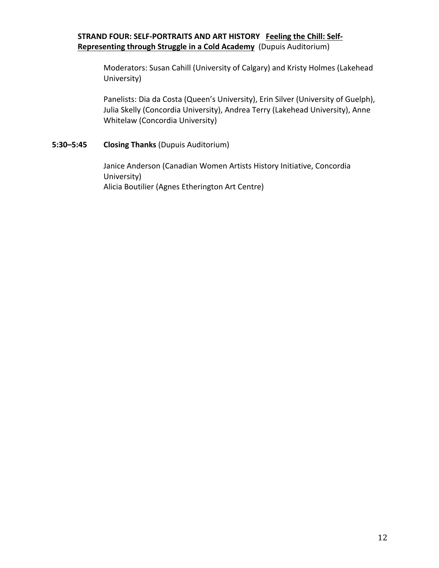# **STRAND FOUR: SELF-PORTRAITS AND ART HISTORY** Feeling the Chill: Self-**Representing through Struggle in a Cold Academy** (Dupuis Auditorium)

Moderators: Susan Cahill (University of Calgary) and Kristy Holmes (Lakehead University)

Panelists: Dia da Costa (Queen's University), Erin Silver (University of Guelph), Julia Skelly (Concordia University), Andrea Terry (Lakehead University), Anne Whitelaw (Concordia University)

## **5:30–5:45 Closing Thanks** (Dupuis Auditorium)

Janice Anderson (Canadian Women Artists History Initiative, Concordia University) Alicia Boutilier (Agnes Etherington Art Centre)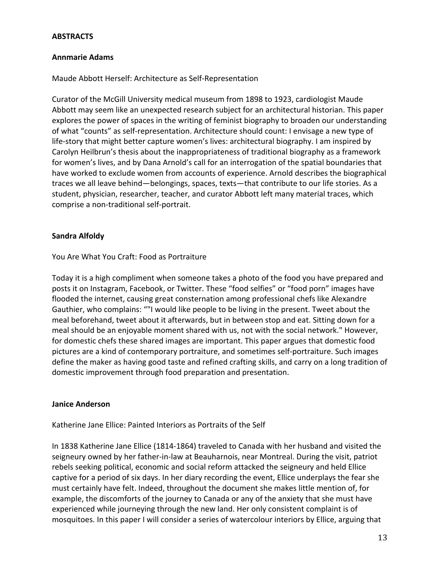## **ABSTRACTS**

#### **Annmarie Adams**

#### Maude Abbott Herself: Architecture as Self-Representation

Curator of the McGill University medical museum from 1898 to 1923, cardiologist Maude Abbott may seem like an unexpected research subject for an architectural historian. This paper explores the power of spaces in the writing of feminist biography to broaden our understanding of what "counts" as self-representation. Architecture should count: I envisage a new type of life-story that might better capture women's lives: architectural biography. I am inspired by Carolyn Heilbrun's thesis about the inappropriateness of traditional biography as a framework for women's lives, and by Dana Arnold's call for an interrogation of the spatial boundaries that have worked to exclude women from accounts of experience. Arnold describes the biographical traces we all leave behind—belongings, spaces, texts—that contribute to our life stories. As a student, physician, researcher, teacher, and curator Abbott left many material traces, which comprise a non-traditional self-portrait.

#### **Sandra Alfoldy**

#### You Are What You Craft: Food as Portraiture

Today it is a high compliment when someone takes a photo of the food you have prepared and posts it on Instagram, Facebook, or Twitter. These "food selfies" or "food porn" images have flooded the internet, causing great consternation among professional chefs like Alexandre Gauthier, who complains: ""I would like people to be living in the present. Tweet about the meal beforehand, tweet about it afterwards, but in between stop and eat. Sitting down for a meal should be an enjoyable moment shared with us, not with the social network." However, for domestic chefs these shared images are important. This paper argues that domestic food pictures are a kind of contemporary portraiture, and sometimes self-portraiture. Such images define the maker as having good taste and refined crafting skills, and carry on a long tradition of domestic improvement through food preparation and presentation.

#### **Janice Anderson**

#### Katherine Jane Ellice: Painted Interiors as Portraits of the Self

In 1838 Katherine Jane Ellice (1814-1864) traveled to Canada with her husband and visited the seigneury owned by her father-in-law at Beauharnois, near Montreal. During the visit, patriot rebels seeking political, economic and social reform attacked the seigneury and held Ellice captive for a period of six days. In her diary recording the event, Ellice underplays the fear she must certainly have felt. Indeed, throughout the document she makes little mention of, for example, the discomforts of the journey to Canada or any of the anxiety that she must have experienced while journeying through the new land. Her only consistent complaint is of mosquitoes. In this paper I will consider a series of watercolour interiors by Ellice, arguing that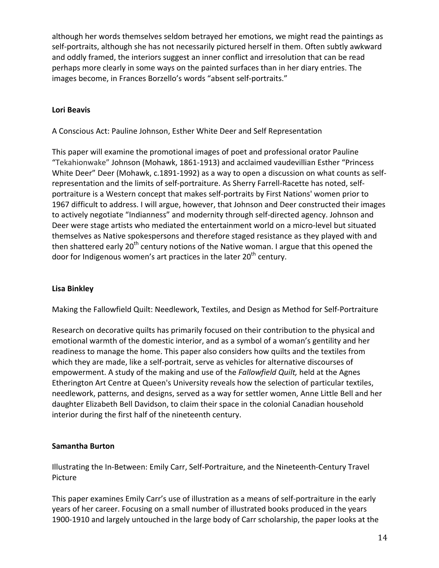although her words themselves seldom betrayed her emotions, we might read the paintings as self-portraits, although she has not necessarily pictured herself in them. Often subtly awkward and oddly framed, the interiors suggest an inner conflict and irresolution that can be read perhaps more clearly in some ways on the painted surfaces than in her diary entries. The images become, in Frances Borzello's words "absent self-portraits."

# **Lori Beavis**

A Conscious Act: Pauline Johnson, Esther White Deer and Self Representation

This paper will examine the promotional images of poet and professional orator Pauline "Tekahionwake" Johnson (Mohawk, 1861-1913) and acclaimed vaudevillian Esther "Princess White Deer" Deer (Mohawk, c.1891-1992) as a way to open a discussion on what counts as selfrepresentation and the limits of self-portraiture. As Sherry Farrell-Racette has noted, selfportraiture is a Western concept that makes self-portraits by First Nations' women prior to 1967 difficult to address. I will argue, however, that Johnson and Deer constructed their images to actively negotiate "Indianness" and modernity through self-directed agency. Johnson and Deer were stage artists who mediated the entertainment world on a micro-level but situated themselves as Native spokespersons and therefore staged resistance as they played with and then shattered early  $20<sup>th</sup>$  century notions of the Native woman. I argue that this opened the door for Indigenous women's art practices in the later 20<sup>th</sup> century.

# **Lisa Binkley**

Making the Fallowfield Quilt: Needlework, Textiles, and Design as Method for Self-Portraiture

Research on decorative quilts has primarily focused on their contribution to the physical and emotional warmth of the domestic interior, and as a symbol of a woman's gentility and her readiness to manage the home. This paper also considers how quilts and the textiles from which they are made, like a self-portrait, serve as vehicles for alternative discourses of empowerment. A study of the making and use of the *Fallowfield Quilt*, held at the Agnes Etherington Art Centre at Queen's University reveals how the selection of particular textiles, needlework, patterns, and designs, served as a way for settler women, Anne Little Bell and her daughter Elizabeth Bell Davidson, to claim their space in the colonial Canadian household interior during the first half of the nineteenth century.

# **Samantha Burton**

Illustrating the In-Between: Emily Carr, Self-Portraiture, and the Nineteenth-Century Travel Picture

This paper examines Emily Carr's use of illustration as a means of self-portraiture in the early years of her career. Focusing on a small number of illustrated books produced in the years 1900-1910 and largely untouched in the large body of Carr scholarship, the paper looks at the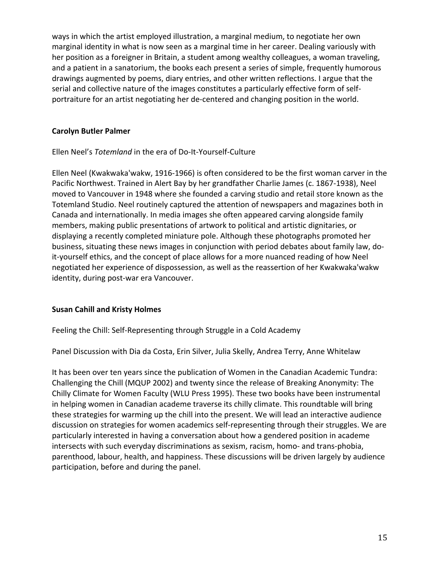ways in which the artist employed illustration, a marginal medium, to negotiate her own marginal identity in what is now seen as a marginal time in her career. Dealing variously with her position as a foreigner in Britain, a student among wealthy colleagues, a woman traveling, and a patient in a sanatorium, the books each present a series of simple, frequently humorous drawings augmented by poems, diary entries, and other written reflections. I argue that the serial and collective nature of the images constitutes a particularly effective form of selfportraiture for an artist negotiating her de-centered and changing position in the world.

# **Carolyn Butler Palmer**

Ellen Neel's Totemland in the era of Do-It-Yourself-Culture

Ellen Neel (Kwakwaka'wakw, 1916-1966) is often considered to be the first woman carver in the Pacific Northwest. Trained in Alert Bay by her grandfather Charlie James (c. 1867-1938), Neel moved to Vancouver in 1948 where she founded a carving studio and retail store known as the Totemland Studio. Neel routinely captured the attention of newspapers and magazines both in Canada and internationally. In media images she often appeared carving alongside family members, making public presentations of artwork to political and artistic dignitaries, or displaying a recently completed miniature pole. Although these photographs promoted her business, situating these news images in conjunction with period debates about family law, doit-yourself ethics, and the concept of place allows for a more nuanced reading of how Neel negotiated her experience of dispossession, as well as the reassertion of her Kwakwaka'wakw identity, during post-war era Vancouver.

# **Susan Cahill and Kristy Holmes**

Feeling the Chill: Self-Representing through Struggle in a Cold Academy

Panel Discussion with Dia da Costa, Erin Silver, Julia Skelly, Andrea Terry, Anne Whitelaw

It has been over ten years since the publication of Women in the Canadian Academic Tundra: Challenging the Chill (MQUP 2002) and twenty since the release of Breaking Anonymity: The Chilly Climate for Women Faculty (WLU Press 1995). These two books have been instrumental in helping women in Canadian academe traverse its chilly climate. This roundtable will bring these strategies for warming up the chill into the present. We will lead an interactive audience discussion on strategies for women academics self-representing through their struggles. We are particularly interested in having a conversation about how a gendered position in academe intersects with such everyday discriminations as sexism, racism, homo- and trans-phobia, parenthood, labour, health, and happiness. These discussions will be driven largely by audience participation, before and during the panel.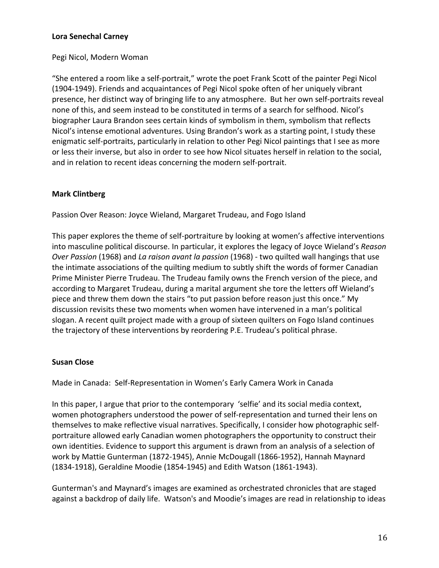## **Lora Senechal Carney**

## Pegi Nicol, Modern Woman

"She entered a room like a self-portrait," wrote the poet Frank Scott of the painter Pegi Nicol (1904-1949). Friends and acquaintances of Pegi Nicol spoke often of her uniquely vibrant presence, her distinct way of bringing life to any atmosphere. But her own self-portraits reveal none of this, and seem instead to be constituted in terms of a search for selfhood. Nicol's biographer Laura Brandon sees certain kinds of symbolism in them, symbolism that reflects Nicol's intense emotional adventures. Using Brandon's work as a starting point, I study these enigmatic self-portraits, particularly in relation to other Pegi Nicol paintings that I see as more or less their inverse, but also in order to see how Nicol situates herself in relation to the social, and in relation to recent ideas concerning the modern self-portrait.

# **Mark Clintberg**

Passion Over Reason: Joyce Wieland, Margaret Trudeau, and Fogo Island

This paper explores the theme of self-portraiture by looking at women's affective interventions into masculine political discourse. In particular, it explores the legacy of Joyce Wieland's *Reason Over Passion* (1968) and *La raison avant la passion* (1968) - two quilted wall hangings that use the intimate associations of the quilting medium to subtly shift the words of former Canadian Prime Minister Pierre Trudeau. The Trudeau family owns the French version of the piece, and according to Margaret Trudeau, during a marital argument she tore the letters off Wieland's piece and threw them down the stairs "to put passion before reason just this once." My discussion revisits these two moments when women have intervened in a man's political slogan. A recent quilt project made with a group of sixteen quilters on Fogo Island continues the trajectory of these interventions by reordering P.E. Trudeau's political phrase.

## **Susan Close**

Made in Canada: Self-Representation in Women's Early Camera Work in Canada

In this paper, I argue that prior to the contemporary 'selfie' and its social media context, women photographers understood the power of self-representation and turned their lens on themselves to make reflective visual narratives. Specifically, I consider how photographic selfportraiture allowed early Canadian women photographers the opportunity to construct their own identities. Evidence to support this argument is drawn from an analysis of a selection of work by Mattie Gunterman (1872-1945), Annie McDougall (1866-1952), Hannah Maynard (1834-1918), Geraldine Moodie (1854-1945) and Edith Watson (1861-1943).

Gunterman's and Maynard's images are examined as orchestrated chronicles that are staged against a backdrop of daily life. Watson's and Moodie's images are read in relationship to ideas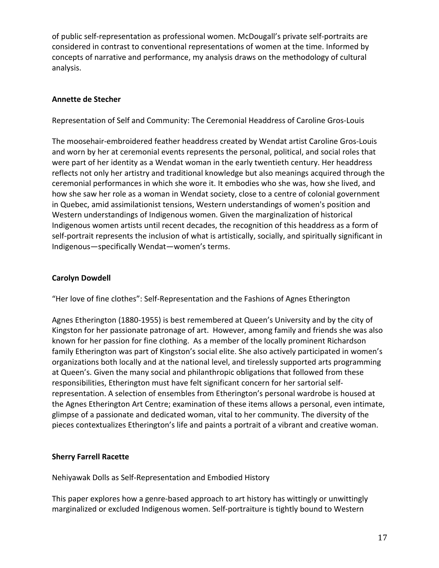of public self-representation as professional women. McDougall's private self-portraits are considered in contrast to conventional representations of women at the time. Informed by concepts of narrative and performance, my analysis draws on the methodology of cultural analysis.

# **Annette de Stecher**

Representation of Self and Community: The Ceremonial Headdress of Caroline Gros-Louis

The moosehair-embroidered feather headdress created by Wendat artist Caroline Gros-Louis and worn by her at ceremonial events represents the personal, political, and social roles that were part of her identity as a Wendat woman in the early twentieth century. Her headdress reflects not only her artistry and traditional knowledge but also meanings acquired through the ceremonial performances in which she wore it. It embodies who she was, how she lived, and how she saw her role as a woman in Wendat society, close to a centre of colonial government in Quebec, amid assimilationist tensions, Western understandings of women's position and Western understandings of Indigenous women. Given the marginalization of historical Indigenous women artists until recent decades, the recognition of this headdress as a form of self-portrait represents the inclusion of what is artistically, socially, and spiritually significant in Indigenous-specifically Wendat-women's terms.

# **Carolyn Dowdell**

"Her love of fine clothes": Self-Representation and the Fashions of Agnes Etherington

Agnes Etherington (1880-1955) is best remembered at Queen's University and by the city of Kingston for her passionate patronage of art. However, among family and friends she was also known for her passion for fine clothing. As a member of the locally prominent Richardson family Etherington was part of Kingston's social elite. She also actively participated in women's organizations both locally and at the national level, and tirelessly supported arts programming at Queen's. Given the many social and philanthropic obligations that followed from these responsibilities, Etherington must have felt significant concern for her sartorial selfrepresentation. A selection of ensembles from Etherington's personal wardrobe is housed at the Agnes Etherington Art Centre; examination of these items allows a personal, even intimate, glimpse of a passionate and dedicated woman, vital to her community. The diversity of the pieces contextualizes Etherington's life and paints a portrait of a vibrant and creative woman.

# **Sherry Farrell Racette**

Nehiyawak Dolls as Self-Representation and Embodied History

This paper explores how a genre-based approach to art history has wittingly or unwittingly marginalized or excluded Indigenous women. Self-portraiture is tightly bound to Western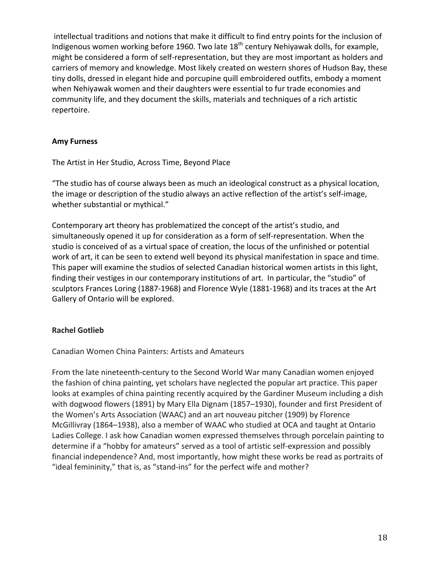intellectual traditions and notions that make it difficult to find entry points for the inclusion of Indigenous women working before 1960. Two late  $18<sup>th</sup>$  century Nehiyawak dolls, for example, might be considered a form of self-representation, but they are most important as holders and carriers of memory and knowledge. Most likely created on western shores of Hudson Bay, these tiny dolls, dressed in elegant hide and porcupine quill embroidered outfits, embody a moment when Nehiyawak women and their daughters were essential to fur trade economies and community life, and they document the skills, materials and techniques of a rich artistic repertoire.

# **Amy Furness**

The Artist in Her Studio, Across Time, Beyond Place

"The studio has of course always been as much an ideological construct as a physical location, the image or description of the studio always an active reflection of the artist's self-image, whether substantial or mythical."

Contemporary art theory has problematized the concept of the artist's studio, and simultaneously opened it up for consideration as a form of self-representation. When the studio is conceived of as a virtual space of creation, the locus of the unfinished or potential work of art, it can be seen to extend well beyond its physical manifestation in space and time. This paper will examine the studios of selected Canadian historical women artists in this light, finding their vestiges in our contemporary institutions of art. In particular, the "studio" of sculptors Frances Loring (1887-1968) and Florence Wyle (1881-1968) and its traces at the Art Gallery of Ontario will be explored.

# **Rachel Gotlieb**

Canadian Women China Painters: Artists and Amateurs

From the late nineteenth-century to the Second World War many Canadian women enjoyed the fashion of china painting, yet scholars have neglected the popular art practice. This paper looks at examples of china painting recently acquired by the Gardiner Museum including a dish with dogwood flowers (1891) by Mary Ella Dignam (1857–1930), founder and first President of the Women's Arts Association (WAAC) and an art nouveau pitcher (1909) by Florence McGillivray (1864–1938), also a member of WAAC who studied at OCA and taught at Ontario Ladies College. I ask how Canadian women expressed themselves through porcelain painting to determine if a "hobby for amateurs" served as a tool of artistic self-expression and possibly financial independence? And, most importantly, how might these works be read as portraits of "ideal femininity," that is, as "stand-ins" for the perfect wife and mother?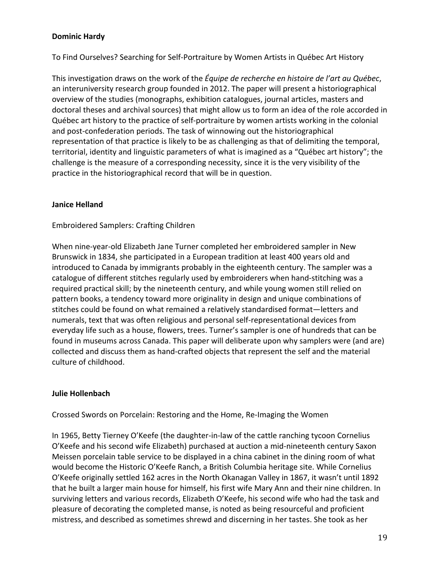# **Dominic Hardy**

To Find Ourselves? Searching for Self-Portraiture by Women Artists in Québec Art History

This investigation draws on the work of the *Équipe de recherche en histoire de l'art au Québec*, an interuniversity research group founded in 2012. The paper will present a historiographical overview of the studies (monographs, exhibition catalogues, journal articles, masters and doctoral theses and archival sources) that might allow us to form an idea of the role accorded in Québec art history to the practice of self-portraiture by women artists working in the colonial and post-confederation periods. The task of winnowing out the historiographical representation of that practice is likely to be as challenging as that of delimiting the temporal, territorial, identity and linguistic parameters of what is imagined as a "Québec art history"; the challenge is the measure of a corresponding necessity, since it is the very visibility of the practice in the historiographical record that will be in question.

## **Janice Helland**

## Embroidered Samplers: Crafting Children

When nine-year-old Elizabeth Jane Turner completed her embroidered sampler in New Brunswick in 1834, she participated in a European tradition at least 400 years old and introduced to Canada by immigrants probably in the eighteenth century. The sampler was a catalogue of different stitches regularly used by embroiderers when hand-stitching was a required practical skill; by the nineteenth century, and while young women still relied on pattern books, a tendency toward more originality in design and unique combinations of stitches could be found on what remained a relatively standardised format—letters and numerals, text that was often religious and personal self-representational devices from everyday life such as a house, flowers, trees. Turner's sampler is one of hundreds that can be found in museums across Canada. This paper will deliberate upon why samplers were (and are) collected and discuss them as hand-crafted objects that represent the self and the material culture of childhood.

## **Julie Hollenbach**

Crossed Swords on Porcelain: Restoring and the Home, Re-Imaging the Women

In 1965, Betty Tierney O'Keefe (the daughter-in-law of the cattle ranching tycoon Cornelius O'Keefe and his second wife Elizabeth) purchased at auction a mid-nineteenth century Saxon Meissen porcelain table service to be displayed in a china cabinet in the dining room of what would become the Historic O'Keefe Ranch, a British Columbia heritage site. While Cornelius O'Keefe originally settled 162 acres in the North Okanagan Valley in 1867, it wasn't until 1892 that he built a larger main house for himself, his first wife Mary Ann and their nine children. In surviving letters and various records, Elizabeth O'Keefe, his second wife who had the task and pleasure of decorating the completed manse, is noted as being resourceful and proficient mistress, and described as sometimes shrewd and discerning in her tastes. She took as her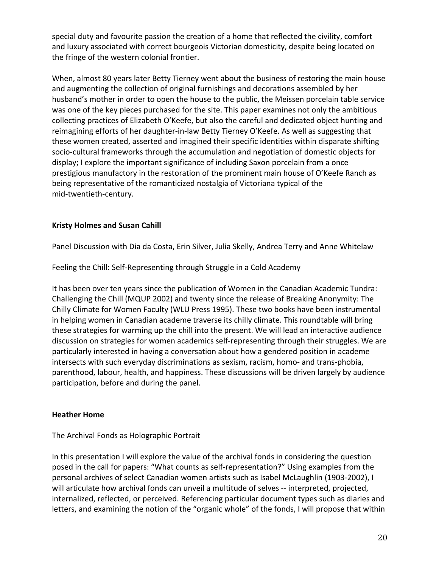special duty and favourite passion the creation of a home that reflected the civility, comfort and luxury associated with correct bourgeois Victorian domesticity, despite being located on the fringe of the western colonial frontier.

When, almost 80 years later Betty Tierney went about the business of restoring the main house and augmenting the collection of original furnishings and decorations assembled by her husband's mother in order to open the house to the public, the Meissen porcelain table service was one of the key pieces purchased for the site. This paper examines not only the ambitious collecting practices of Elizabeth O'Keefe, but also the careful and dedicated object hunting and reimagining efforts of her daughter-in-law Betty Tierney O'Keefe. As well as suggesting that these women created, asserted and imagined their specific identities within disparate shifting socio-cultural frameworks through the accumulation and negotiation of domestic objects for display; I explore the important significance of including Saxon porcelain from a once prestigious manufactory in the restoration of the prominent main house of O'Keefe Ranch as being representative of the romanticized nostalgia of Victoriana typical of the mid-twentieth-century.

# **Kristy Holmes and Susan Cahill**

Panel Discussion with Dia da Costa, Erin Silver, Julia Skelly, Andrea Terry and Anne Whitelaw

Feeling the Chill: Self-Representing through Struggle in a Cold Academy

It has been over ten years since the publication of Women in the Canadian Academic Tundra: Challenging the Chill (MQUP 2002) and twenty since the release of Breaking Anonymity: The Chilly Climate for Women Faculty (WLU Press 1995). These two books have been instrumental in helping women in Canadian academe traverse its chilly climate. This roundtable will bring these strategies for warming up the chill into the present. We will lead an interactive audience discussion on strategies for women academics self-representing through their struggles. We are particularly interested in having a conversation about how a gendered position in academe intersects with such everyday discriminations as sexism, racism, homo- and trans-phobia, parenthood, labour, health, and happiness. These discussions will be driven largely by audience participation, before and during the panel.

# **Heather Home**

# The Archival Fonds as Holographic Portrait

In this presentation I will explore the value of the archival fonds in considering the question posed in the call for papers: "What counts as self-representation?" Using examples from the personal archives of select Canadian women artists such as Isabel McLaughlin (1903-2002), I will articulate how archival fonds can unveil a multitude of selves -- interpreted, projected, internalized, reflected, or perceived. Referencing particular document types such as diaries and letters, and examining the notion of the "organic whole" of the fonds, I will propose that within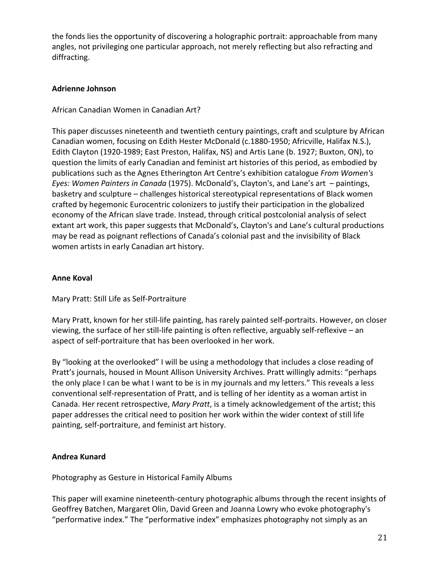the fonds lies the opportunity of discovering a holographic portrait: approachable from many angles, not privileging one particular approach, not merely reflecting but also refracting and diffracting.

# **Adrienne Johnson**

African Canadian Women in Canadian Art?

This paper discusses nineteenth and twentieth century paintings, craft and sculpture by African Canadian women, focusing on Edith Hester McDonald (c.1880-1950; Africville, Halifax N.S.), Edith Clayton (1920-1989; East Preston, Halifax, NS) and Artis Lane (b. 1927; Buxton, ON), to question the limits of early Canadian and feminist art histories of this period, as embodied by publications such as the Agnes Etherington Art Centre's exhibition catalogue From Women's *Eyes: Women Painters in Canada* (1975). McDonald's, Clayton's, and Lane's art – paintings, basketry and sculpture – challenges historical stereotypical representations of Black women crafted by hegemonic Eurocentric colonizers to justify their participation in the globalized economy of the African slave trade. Instead, through critical postcolonial analysis of select extant art work, this paper suggests that McDonald's, Clayton's and Lane's cultural productions may be read as poignant reflections of Canada's colonial past and the invisibility of Black women artists in early Canadian art history.

# **Anne Koval**

Mary Pratt: Still Life as Self-Portraiture

Mary Pratt, known for her still-life painting, has rarely painted self-portraits. However, on closer viewing, the surface of her still-life painting is often reflective, arguably self-reflexive - an aspect of self-portraiture that has been overlooked in her work.

By "looking at the overlooked" I will be using a methodology that includes a close reading of Pratt's journals, housed in Mount Allison University Archives. Pratt willingly admits: "perhaps the only place I can be what I want to be is in my journals and my letters." This reveals a less conventional self-representation of Pratt, and is telling of her identity as a woman artist in Canada. Her recent retrospective, *Mary Pratt*, is a timely acknowledgement of the artist; this paper addresses the critical need to position her work within the wider context of still life painting, self-portraiture, and feminist art history.

# **Andrea Kunard**

Photography as Gesture in Historical Family Albums

This paper will examine nineteenth-century photographic albums through the recent insights of Geoffrey Batchen, Margaret Olin, David Green and Joanna Lowry who evoke photography's "performative index." The "performative index" emphasizes photography not simply as an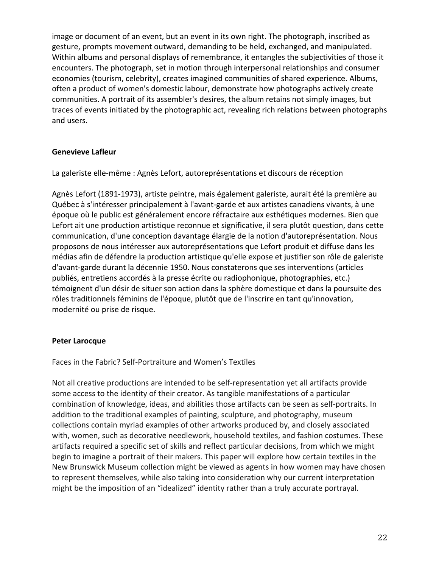image or document of an event, but an event in its own right. The photograph, inscribed as gesture, prompts movement outward, demanding to be held, exchanged, and manipulated. Within albums and personal displays of remembrance, it entangles the subjectivities of those it encounters. The photograph, set in motion through interpersonal relationships and consumer economies (tourism, celebrity), creates imagined communities of shared experience. Albums, often a product of women's domestic labour, demonstrate how photographs actively create communities. A portrait of its assembler's desires, the album retains not simply images, but traces of events initiated by the photographic act, revealing rich relations between photographs and users.

# **Genevieve Lafleur**

La galeriste elle-même : Agnès Lefort, autoreprésentations et discours de réception

Agnès Lefort (1891-1973), artiste peintre, mais également galeriste, aurait été la première au Québec à s'intéresser principalement à l'avant-garde et aux artistes canadiens vivants, à une époque où le public est généralement encore réfractaire aux esthétiques modernes. Bien que Lefort ait une production artistique reconnue et significative, il sera plutôt question, dans cette communication, d'une conception davantage élargie de la notion d'autoreprésentation. Nous proposons de nous intéresser aux autoreprésentations que Lefort produit et diffuse dans les médias afin de défendre la production artistique qu'elle expose et justifier son rôle de galeriste d'avant-garde durant la décennie 1950. Nous constaterons que ses interventions (articles publiés, entretiens accordés à la presse écrite ou radiophonique, photographies, etc.) témoignent d'un désir de situer son action dans la sphère domestique et dans la poursuite des rôles traditionnels féminins de l'époque, plutôt que de l'inscrire en tant qu'innovation, modernité ou prise de risque.

## **Peter Larocque**

Faces in the Fabric? Self-Portraiture and Women's Textiles

Not all creative productions are intended to be self-representation yet all artifacts provide some access to the identity of their creator. As tangible manifestations of a particular combination of knowledge, ideas, and abilities those artifacts can be seen as self-portraits. In addition to the traditional examples of painting, sculpture, and photography, museum collections contain myriad examples of other artworks produced by, and closely associated with, women, such as decorative needlework, household textiles, and fashion costumes. These artifacts required a specific set of skills and reflect particular decisions, from which we might begin to imagine a portrait of their makers. This paper will explore how certain textiles in the New Brunswick Museum collection might be viewed as agents in how women may have chosen to represent themselves, while also taking into consideration why our current interpretation might be the imposition of an "idealized" identity rather than a truly accurate portrayal.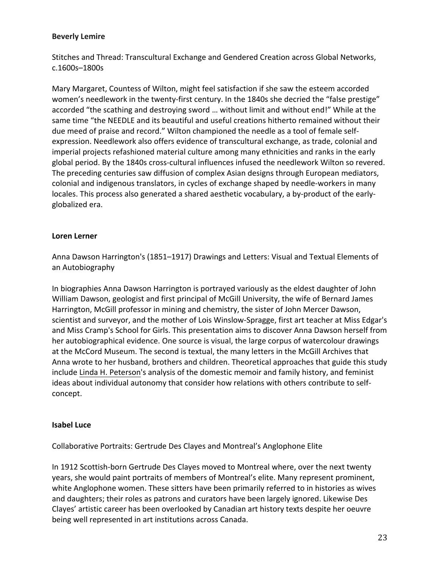## **Beverly Lemire**

Stitches and Thread: Transcultural Exchange and Gendered Creation across Global Networks, c.1600s–1800s

Mary Margaret, Countess of Wilton, might feel satisfaction if she saw the esteem accorded women's needlework in the twenty-first century. In the 1840s she decried the "false prestige" accorded "the scathing and destroying sword ... without limit and without end!" While at the same time "the NEEDLE and its beautiful and useful creations hitherto remained without their due meed of praise and record." Wilton championed the needle as a tool of female selfexpression. Needlework also offers evidence of transcultural exchange, as trade, colonial and imperial projects refashioned material culture among many ethnicities and ranks in the early global period. By the 1840s cross-cultural influences infused the needlework Wilton so revered. The preceding centuries saw diffusion of complex Asian designs through European mediators, colonial and indigenous translators, in cycles of exchange shaped by needle-workers in many locales. This process also generated a shared aesthetic vocabulary, a by-product of the earlyglobalized era. 

## **Loren Lerner**

Anna Dawson Harrington's (1851–1917) Drawings and Letters: Visual and Textual Elements of an Autobiography

In biographies Anna Dawson Harrington is portrayed variously as the eldest daughter of John William Dawson, geologist and first principal of McGill University, the wife of Bernard James Harrington, McGill professor in mining and chemistry, the sister of John Mercer Dawson, scientist and surveyor, and the mother of Lois Winslow-Spragge, first art teacher at Miss Edgar's and Miss Cramp's School for Girls. This presentation aims to discover Anna Dawson herself from her autobiographical evidence. One source is visual, the large corpus of watercolour drawings at the McCord Museum. The second is textual, the many letters in the McGill Archives that Anna wrote to her husband, brothers and children. Theoretical approaches that guide this study include Linda H. Peterson's analysis of the domestic memoir and family history, and feminist ideas about individual autonomy that consider how relations with others contribute to selfconcept. 

## **Isabel Luce**

Collaborative Portraits: Gertrude Des Clayes and Montreal's Anglophone Elite

In 1912 Scottish-born Gertrude Des Clayes moved to Montreal where, over the next twenty years, she would paint portraits of members of Montreal's elite. Many represent prominent, white Anglophone women. These sitters have been primarily referred to in histories as wives and daughters; their roles as patrons and curators have been largely ignored. Likewise Des Clayes' artistic career has been overlooked by Canadian art history texts despite her oeuvre being well represented in art institutions across Canada.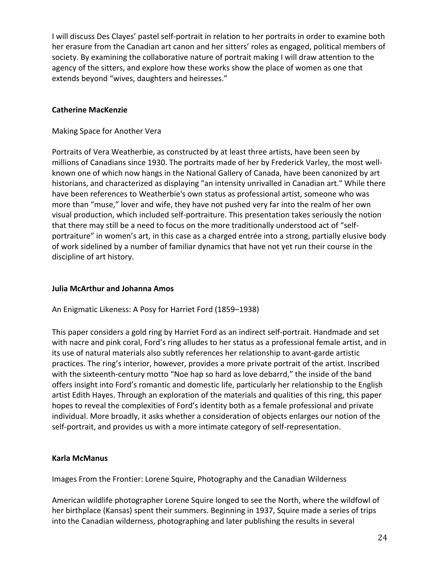I will discuss Des Clayes' pastel self-portrait in relation to her portraits in order to examine both her erasure from the Canadian art canon and her sitters' roles as engaged, political members of society. By examining the collaborative nature of portrait making I will draw attention to the agency of the sitters, and explore how these works show the place of women as one that extends beyond "wives, daughters and heiresses."

# **Catherine MacKenzie**

# Making Space for Another Vera

Portraits of Vera Weatherbie, as constructed by at least three artists, have been seen by millions of Canadians since 1930. The portraits made of her by Frederick Varley, the most wellknown one of which now hangs in the National Gallery of Canada, have been canonized by art historians, and characterized as displaying "an intensity unrivalled in Canadian art." While there have been references to Weatherbie's own status as professional artist, someone who was more than "muse," lover and wife, they have not pushed very far into the realm of her own visual production, which included self-portraiture. This presentation takes seriously the notion that there may still be a need to focus on the more traditionally understood act of "selfportraiture" in women's art, in this case as a charged entrée into a strong, partially elusive body of work sidelined by a number of familiar dynamics that have not yet run their course in the discipline of art history.

# **Julia McArthur and Johanna Amos**

An Enigmatic Likeness: A Posy for Harriet Ford (1859–1938)

This paper considers a gold ring by Harriet Ford as an indirect self-portrait. Handmade and set with nacre and pink coral, Ford's ring alludes to her status as a professional female artist, and in its use of natural materials also subtly references her relationship to avant-garde artistic practices. The ring's interior, however, provides a more private portrait of the artist. Inscribed with the sixteenth-century motto "Noe hap so hard as love debarrd," the inside of the band offers insight into Ford's romantic and domestic life, particularly her relationship to the English artist Edith Hayes. Through an exploration of the materials and qualities of this ring, this paper hopes to reveal the complexities of Ford's identity both as a female professional and private individual. More broadly, it asks whether a consideration of objects enlarges our notion of the self-portrait, and provides us with a more intimate category of self-representation.

# **Karla McManus**

Images From the Frontier: Lorene Squire, Photography and the Canadian Wilderness

American wildlife photographer Lorene Squire longed to see the North, where the wildfowl of her birthplace (Kansas) spent their summers. Beginning in 1937, Squire made a series of trips into the Canadian wilderness, photographing and later publishing the results in several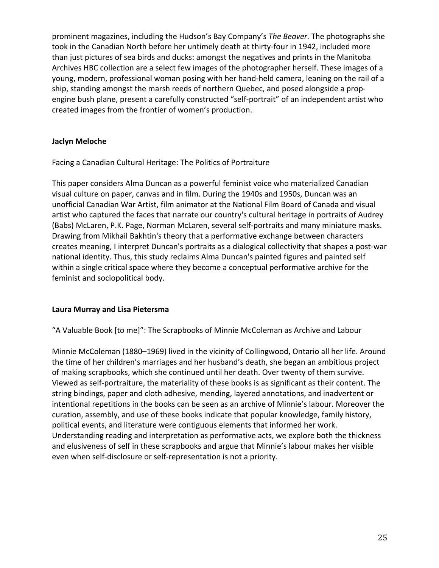prominent magazines, including the Hudson's Bay Company's *The Beaver*. The photographs she took in the Canadian North before her untimely death at thirty-four in 1942, included more than just pictures of sea birds and ducks: amongst the negatives and prints in the Manitoba Archives HBC collection are a select few images of the photographer herself. These images of a young, modern, professional woman posing with her hand-held camera, leaning on the rail of a ship, standing amongst the marsh reeds of northern Quebec, and posed alongside a propengine bush plane, present a carefully constructed "self-portrait" of an independent artist who created images from the frontier of women's production.

# **Jaclyn Meloche**

Facing a Canadian Cultural Heritage: The Politics of Portraiture

This paper considers Alma Duncan as a powerful feminist voice who materialized Canadian visual culture on paper, canvas and in film. During the 1940s and 1950s, Duncan was an unofficial Canadian War Artist, film animator at the National Film Board of Canada and visual artist who captured the faces that narrate our country's cultural heritage in portraits of Audrey (Babs) McLaren, P.K. Page, Norman McLaren, several self-portraits and many miniature masks. Drawing from Mikhail Bakhtin's theory that a performative exchange between characters creates meaning, I interpret Duncan's portraits as a dialogical collectivity that shapes a post-war national identity. Thus, this study reclaims Alma Duncan's painted figures and painted self within a single critical space where they become a conceptual performative archive for the feminist and sociopolitical body.

# **Laura Murray and Lisa Pietersma**

"A Valuable Book [to me]": The Scrapbooks of Minnie McColeman as Archive and Labour

Minnie McColeman (1880–1969) lived in the vicinity of Collingwood, Ontario all her life. Around the time of her children's marriages and her husband's death, she began an ambitious project of making scrapbooks, which she continued until her death. Over twenty of them survive. Viewed as self-portraiture, the materiality of these books is as significant as their content. The string bindings, paper and cloth adhesive, mending, layered annotations, and inadvertent or intentional repetitions in the books can be seen as an archive of Minnie's labour. Moreover the curation, assembly, and use of these books indicate that popular knowledge, family history, political events, and literature were contiguous elements that informed her work. Understanding reading and interpretation as performative acts, we explore both the thickness and elusiveness of self in these scrapbooks and argue that Minnie's labour makes her visible even when self-disclosure or self-representation is not a priority.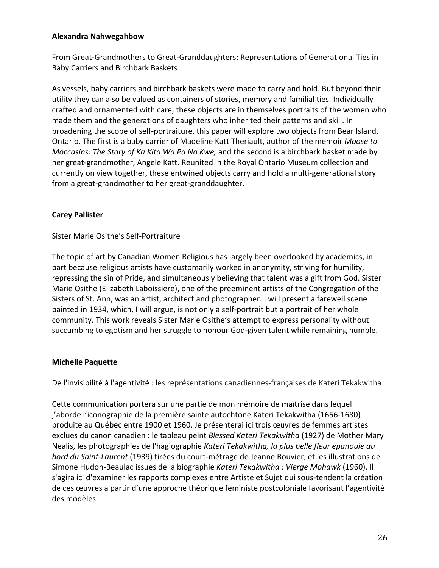# **Alexandra Nahwegahbow**

From Great-Grandmothers to Great-Granddaughters: Representations of Generational Ties in Baby Carriers and Birchbark Baskets

As vessels, baby carriers and birchbark baskets were made to carry and hold. But beyond their utility they can also be valued as containers of stories, memory and familial ties. Individually crafted and ornamented with care, these objects are in themselves portraits of the women who made them and the generations of daughters who inherited their patterns and skill. In broadening the scope of self-portraiture, this paper will explore two objects from Bear Island, Ontario. The first is a baby carrier of Madeline Katt Theriault, author of the memoir Moose to *Moccasins: The Story of Ka Kita Wa Pa No Kwe,* and the second is a birchbark basket made by her great-grandmother, Angele Katt. Reunited in the Royal Ontario Museum collection and currently on view together, these entwined objects carry and hold a multi-generational story from a great-grandmother to her great-granddaughter.

# **Carey Pallister**

# Sister Marie Osithe's Self-Portraiture

The topic of art by Canadian Women Religious has largely been overlooked by academics, in part because religious artists have customarily worked in anonymity, striving for humility, repressing the sin of Pride, and simultaneously believing that talent was a gift from God. Sister Marie Osithe (Elizabeth Laboissiere), one of the preeminent artists of the Congregation of the Sisters of St. Ann, was an artist, architect and photographer. I will present a farewell scene painted in 1934, which, I will argue, is not only a self-portrait but a portrait of her whole community. This work reveals Sister Marie Osithe's attempt to express personality without succumbing to egotism and her struggle to honour God-given talent while remaining humble.

# **Michelle Paquette**

De l'invisibilité à l'agentivité : les représentations canadiennes-françaises de Kateri Tekakwitha

Cette communication portera sur une partie de mon mémoire de maîtrise dans lequel j'aborde l'iconographie de la première sainte autochtone Kateri Tekakwitha (1656-1680) produite au Québec entre 1900 et 1960. Je présenterai ici trois œuvres de femmes artistes exclues du canon canadien : le tableau peint *Blessed Kateri Tekakwitha* (1927) de Mother Mary Nealis, les photographies de l'hagiographie *Kateri Tekakwitha, la plus belle fleur épanouie au bord du Saint-Laurent* (1939) tirées du court-métrage de Jeanne Bouvier, et les illustrations de Simone Hudon-Beaulac issues de la biographie *Kateri Tekakwitha : Vierge Mohawk* (1960). Il s'agira ici d'examiner les rapports complexes entre Artiste et Sujet qui sous-tendent la création de ces œuvres à partir d'une approche théorique féministe postcoloniale favorisant l'agentivité des modèles.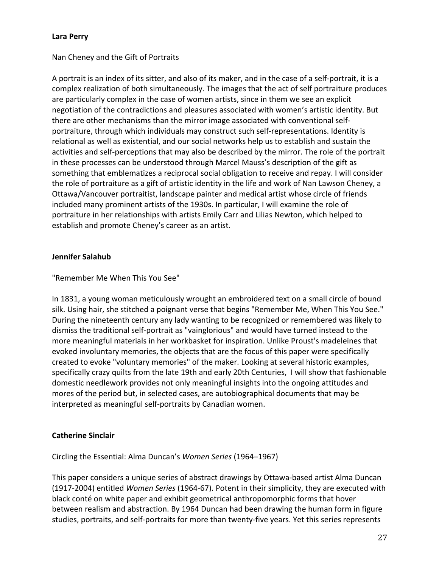# **Lara Perry**

# Nan Cheney and the Gift of Portraits

A portrait is an index of its sitter, and also of its maker, and in the case of a self-portrait, it is a complex realization of both simultaneously. The images that the act of self portraiture produces are particularly complex in the case of women artists, since in them we see an explicit negotiation of the contradictions and pleasures associated with women's artistic identity. But there are other mechanisms than the mirror image associated with conventional selfportraiture, through which individuals may construct such self-representations. Identity is relational as well as existential, and our social networks help us to establish and sustain the activities and self-perceptions that may also be described by the mirror. The role of the portrait in these processes can be understood through Marcel Mauss's description of the gift as something that emblematizes a reciprocal social obligation to receive and repay. I will consider the role of portraiture as a gift of artistic identity in the life and work of Nan Lawson Cheney, a Ottawa/Vancouver portraitist, landscape painter and medical artist whose circle of friends included many prominent artists of the 1930s. In particular, I will examine the role of portraiture in her relationships with artists Emily Carr and Lilias Newton, which helped to establish and promote Cheney's career as an artist.

## **Jennifer Salahub**

"Remember Me When This You See"

In 1831, a young woman meticulously wrought an embroidered text on a small circle of bound silk. Using hair, she stitched a poignant verse that begins "Remember Me, When This You See." During the nineteenth century any lady wanting to be recognized or remembered was likely to dismiss the traditional self-portrait as "vainglorious" and would have turned instead to the more meaningful materials in her workbasket for inspiration. Unlike Proust's madeleines that evoked involuntary memories, the objects that are the focus of this paper were specifically created to evoke "voluntary memories" of the maker. Looking at several historic examples, specifically crazy quilts from the late 19th and early 20th Centuries, I will show that fashionable domestic needlework provides not only meaningful insights into the ongoing attitudes and mores of the period but, in selected cases, are autobiographical documents that may be interpreted as meaningful self-portraits by Canadian women.

# **Catherine Sinclair**

Circling the Essential: Alma Duncan's *Women Series* (1964–1967)

This paper considers a unique series of abstract drawings by Ottawa-based artist Alma Duncan (1917-2004) entitled *Women Series* (1964-67). Potent in their simplicity, they are executed with black conté on white paper and exhibit geometrical anthropomorphic forms that hover between realism and abstraction. By 1964 Duncan had been drawing the human form in figure studies, portraits, and self-portraits for more than twenty-five years. Yet this series represents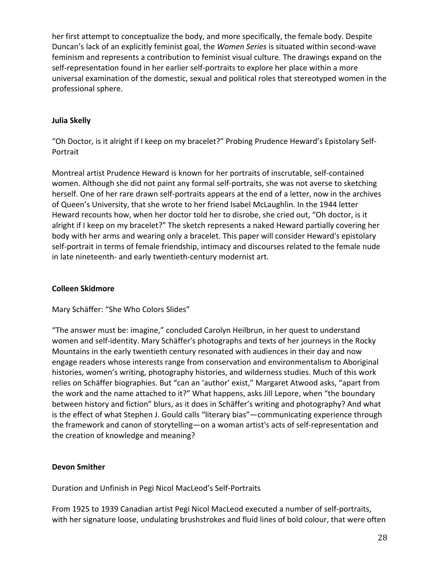her first attempt to conceptualize the body, and more specifically, the female body. Despite Duncan's lack of an explicitly feminist goal, the Women Series is situated within second-wave feminism and represents a contribution to feminist visual culture. The drawings expand on the self-representation found in her earlier self-portraits to explore her place within a more universal examination of the domestic, sexual and political roles that stereotyped women in the professional sphere.

# **Julia Skelly**

"Oh Doctor, is it alright if I keep on my bracelet?" Probing Prudence Heward's Epistolary Self-Portrait

Montreal artist Prudence Heward is known for her portraits of inscrutable, self-contained women. Although she did not paint any formal self-portraits, she was not averse to sketching herself. One of her rare drawn self-portraits appears at the end of a letter, now in the archives of Queen's University, that she wrote to her friend Isabel McLaughlin. In the 1944 letter Heward recounts how, when her doctor told her to disrobe, she cried out, "Oh doctor, is it alright if I keep on my bracelet?" The sketch represents a naked Heward partially covering her body with her arms and wearing only a bracelet. This paper will consider Heward's epistolary self-portrait in terms of female friendship, intimacy and discourses related to the female nude in late nineteenth- and early twentieth-century modernist art.

# **Colleen Skidmore**

Mary Schäffer: "She Who Colors Slides"

"The answer must be: imagine," concluded Carolyn Heilbrun, in her quest to understand women and self-identity. Mary Schäffer's photographs and texts of her journeys in the Rocky Mountains in the early twentieth century resonated with audiences in their day and now engage readers whose interests range from conservation and environmentalism to Aboriginal histories, women's writing, photography histories, and wilderness studies. Much of this work relies on Schäffer biographies. But "can an 'author' exist," Margaret Atwood asks, "apart from the work and the name attached to it?" What happens, asks Jill Lepore, when "the boundary between history and fiction" blurs, as it does in Schäffer's writing and photography? And what is the effect of what Stephen J. Gould calls "literary bias"—communicating experience through the framework and canon of storytelling—on a woman artist's acts of self-representation and the creation of knowledge and meaning?

# **Devon Smither**

Duration and Unfinish in Pegi Nicol MacLeod's Self-Portraits

From 1925 to 1939 Canadian artist Pegi Nicol MacLeod executed a number of self-portraits, with her signature loose, undulating brushstrokes and fluid lines of bold colour, that were often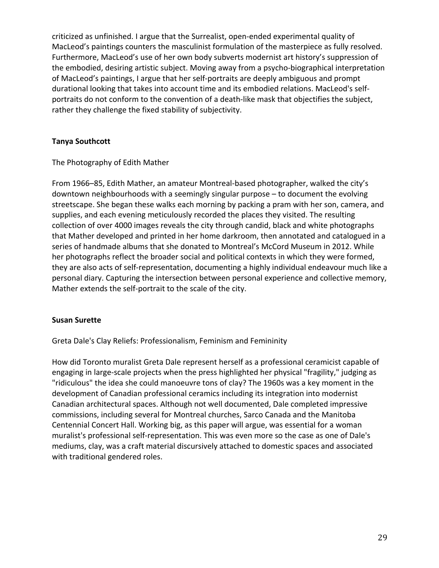criticized as unfinished. I argue that the Surrealist, open-ended experimental quality of MacLeod's paintings counters the masculinist formulation of the masterpiece as fully resolved. Furthermore, MacLeod's use of her own body subverts modernist art history's suppression of the embodied, desiring artistic subject. Moving away from a psycho-biographical interpretation of MacLeod's paintings, I argue that her self-portraits are deeply ambiguous and prompt durational looking that takes into account time and its embodied relations. MacLeod's selfportraits do not conform to the convention of a death-like mask that objectifies the subject, rather they challenge the fixed stability of subjectivity.

# **Tanya Southcott**

The Photography of Edith Mather

From 1966–85, Edith Mather, an amateur Montreal-based photographer, walked the city's downtown neighbourhoods with a seemingly singular purpose – to document the evolving streetscape. She began these walks each morning by packing a pram with her son, camera, and supplies, and each evening meticulously recorded the places they visited. The resulting collection of over 4000 images reveals the city through candid, black and white photographs that Mather developed and printed in her home darkroom, then annotated and catalogued in a series of handmade albums that she donated to Montreal's McCord Museum in 2012. While her photographs reflect the broader social and political contexts in which they were formed, they are also acts of self-representation, documenting a highly individual endeavour much like a personal diary. Capturing the intersection between personal experience and collective memory, Mather extends the self-portrait to the scale of the city.

## **Susan Surette**

Greta Dale's Clay Reliefs: Professionalism, Feminism and Femininity

How did Toronto muralist Greta Dale represent herself as a professional ceramicist capable of engaging in large-scale projects when the press highlighted her physical "fragility," judging as "ridiculous" the idea she could manoeuvre tons of clay? The 1960s was a key moment in the development of Canadian professional ceramics including its integration into modernist Canadian architectural spaces. Although not well documented, Dale completed impressive commissions, including several for Montreal churches, Sarco Canada and the Manitoba Centennial Concert Hall. Working big, as this paper will argue, was essential for a woman muralist's professional self-representation. This was even more so the case as one of Dale's mediums, clay, was a craft material discursively attached to domestic spaces and associated with traditional gendered roles.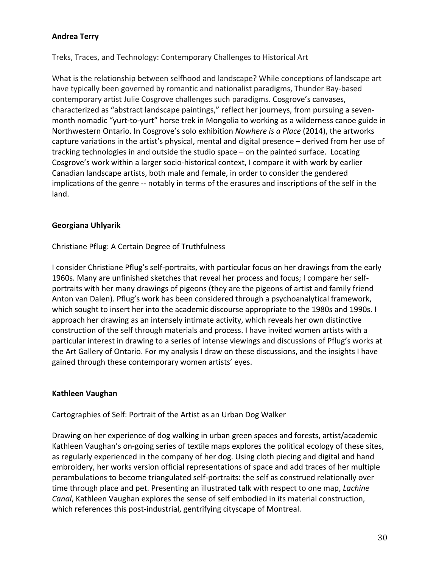# **Andrea Terry**

Treks, Traces, and Technology: Contemporary Challenges to Historical Art

What is the relationship between selfhood and landscape? While conceptions of landscape art have typically been governed by romantic and nationalist paradigms, Thunder Bay-based contemporary artist Julie Cosgrove challenges such paradigms. Cosgrove's canvases, characterized as "abstract landscape paintings," reflect her journeys, from pursuing a sevenmonth nomadic "yurt-to-yurt" horse trek in Mongolia to working as a wilderness canoe guide in Northwestern Ontario. In Cosgrove's solo exhibition *Nowhere is a Place* (2014), the artworks capture variations in the artist's physical, mental and digital presence – derived from her use of tracking technologies in and outside the studio space  $-$  on the painted surface. Locating Cosgrove's work within a larger socio-historical context, I compare it with work by earlier Canadian landscape artists, both male and female, in order to consider the gendered implications of the genre -- notably in terms of the erasures and inscriptions of the self in the land. 

# **Georgiana Uhlyarik**

# Christiane Pflug: A Certain Degree of Truthfulness

I consider Christiane Pflug's self-portraits, with particular focus on her drawings from the early 1960s. Many are unfinished sketches that reveal her process and focus; I compare her selfportraits with her many drawings of pigeons (they are the pigeons of artist and family friend Anton van Dalen). Pflug's work has been considered through a psychoanalytical framework, which sought to insert her into the academic discourse appropriate to the 1980s and 1990s. I approach her drawing as an intensely intimate activity, which reveals her own distinctive construction of the self through materials and process. I have invited women artists with a particular interest in drawing to a series of intense viewings and discussions of Pflug's works at the Art Gallery of Ontario. For my analysis I draw on these discussions, and the insights I have gained through these contemporary women artists' eyes.

## **Kathleen Vaughan**

Cartographies of Self: Portrait of the Artist as an Urban Dog Walker

Drawing on her experience of dog walking in urban green spaces and forests, artist/academic Kathleen Vaughan's on-going series of textile maps explores the political ecology of these sites, as regularly experienced in the company of her dog. Using cloth piecing and digital and hand embroidery, her works version official representations of space and add traces of her multiple perambulations to become triangulated self-portraits: the self as construed relationally over time through place and pet. Presenting an illustrated talk with respect to one map, *Lachine Canal*, Kathleen Vaughan explores the sense of self embodied in its material construction, which references this post-industrial, gentrifying cityscape of Montreal.